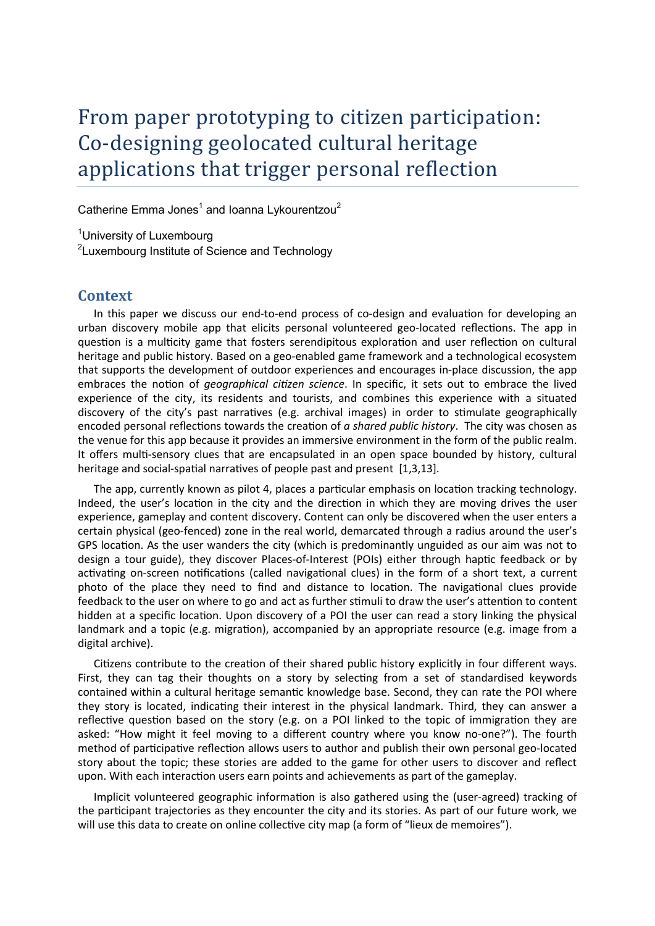# From paper prototyping to citizen participation: Co-designing geolocated cultural heritage applications that trigger personal reflection

Catherine Emma Jones<sup>1</sup> and Ioanna Lykourentzou<sup>2</sup>

<sup>1</sup>University of Luxembourg <sup>2</sup>Luxembourg Institute of Science and Technology

# **Context**

In this paper we discuss our end-to-end process of co-design and evaluation for developing an urban discovery mobile app that elicits personal volunteered geo-located reflections. The app in question is a multicity game that fosters serendipitous exploration and user reflection on cultural heritage and public history. Based on a geo-enabled game framework and a technological ecosystem that supports the development of outdoor experiences and encourages in-place discussion, the app embraces the notion of *geographical citizen science*. In specific, it sets out to embrace the lived experience of the city, its residents and tourists, and combines this experience with a situated discovery of the city's past narratives (e.g. archival images) in order to stimulate geographically encoded personal reflections towards the creation of *a shared public history*. The city was chosen as the venue for this app because it provides an immersive environment in the form of the public realm. It offers multi-sensory clues that are encapsulated in an open space bounded by history, cultural heritage and social-spatial narratives of people past and present [1,3,13].

The app, currently known as pilot 4, places a particular emphasis on location tracking technology. Indeed, the user's location in the city and the direction in which they are moving drives the user experience, gameplay and content discovery. Content can only be discovered when the user enters a certain physical (geo-fenced) zone in the real world, demarcated through a radius around the user's GPS location. As the user wanders the city (which is predominantly unguided as our aim was not to design a tour guide), they discover Places-of-Interest (POIs) either through haptic feedback or by activating on-screen notifications (called navigational clues) in the form of a short text, a current photo of the place they need to find and distance to location. The navigational clues provide feedback to the user on where to go and act as further stimuli to draw the user's attention to content hidden at a specific location. Upon discovery of a POI the user can read a story linking the physical landmark and a topic (e.g. migration), accompanied by an appropriate resource (e.g. image from a digital archive).

Citizens contribute to the creation of their shared public history explicitly in four different ways. First, they can tag their thoughts on a story by selecting from a set of standardised keywords contained within a cultural heritage semantic knowledge base. Second, they can rate the POI where they story is located, indicating their interest in the physical landmark. Third, they can answer a reflective question based on the story (e.g. on a POI linked to the topic of immigration they are asked: "How might it feel moving to a different country where you know no-one?"). The fourth method of participative reflection allows users to author and publish their own personal geo-located story about the topic; these stories are added to the game for other users to discover and reflect upon. With each interaction users earn points and achievements as part of the gameplay.

Implicit volunteered geographic information is also gathered using the (user-agreed) tracking of the participant trajectories as they encounter the city and its stories. As part of our future work, we will use this data to create on online collective city map (a form of "lieux de memoires").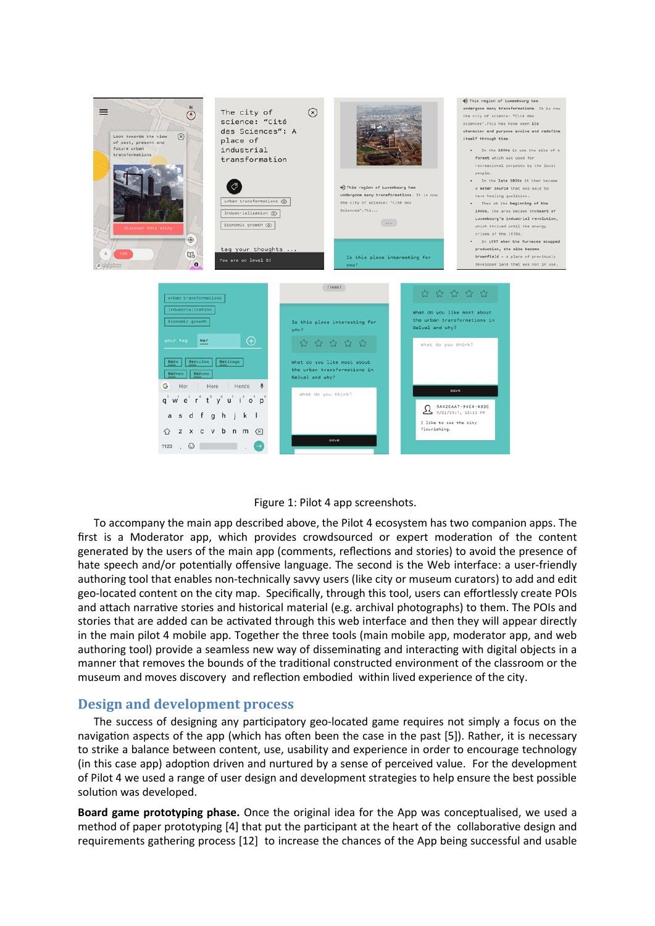



To accompany the main app described above, the Pilot 4 ecosystem has two companion apps. The first is a Moderator app, which provides crowdsourced or expert moderation of the content generated by the users of the main app (comments, reflections and stories) to avoid the presence of hate speech and/or potentially offensive language. The second is the Web interface: a user-friendly authoring tool that enables non-technically savvy users (like city or museum curators) to add and edit geo-located content on the city map. Specifically, through this tool, users can effortlessly create POIs and attach narrative stories and historical material (e.g. archival photographs) to them. The POIs and stories that are added can be activated through this web interface and then they will appear directly in the main pilot 4 mobile app. Together the three tools (main mobile app, moderator app, and web authoring tool) provide a seamless new way of disseminating and interacting with digital objects in a manner that removes the bounds of the traditional constructed environment of the classroom or the museum and moves discovery and reflection embodied within lived experience of the city.

### **Design and development process**

The success of designing any participatory geo-located game requires not simply a focus on the navigation aspects of the app (which has often been the case in the past [5]). Rather, it is necessary to strike a balance between content, use, usability and experience in order to encourage technology (in this case app) adoption driven and nurtured by a sense of perceived value. For the development of Pilot 4 we used a range of user design and development strategies to help ensure the best possible solution was developed.

**Board game prototyping phase.** Once the original idea for the App was conceptualised, we used a method of paper prototyping [4] that put the participant at the heart of the collaborative design and requirements gathering process [12] to increase the chances of the App being successful and usable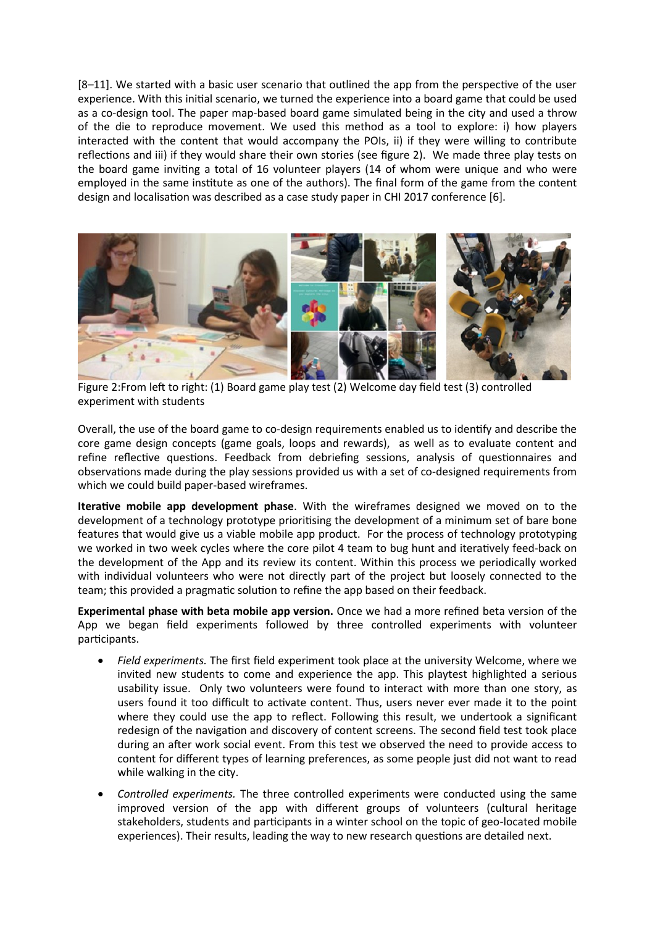[8–11]. We started with a basic user scenario that outlined the app from the perspective of the user experience. With this initial scenario, we turned the experience into a board game that could be used as a co-design tool. The paper map-based board game simulated being in the city and used a throw of the die to reproduce movement. We used this method as a tool to explore: i) how players interacted with the content that would accompany the POIs, ii) if they were willing to contribute reflections and iii) if they would share their own stories (see figure 2). We made three play tests on the board game inviting a total of 16 volunteer players (14 of whom were unique and who were employed in the same institute as one of the authors). The final form of the game from the content design and localisation was described as a case study paper in CHI 2017 conference [6].



Figure 2:From left to right: (1) Board game play test (2) Welcome day field test (3) controlled experiment with students

Overall, the use of the board game to co-design requirements enabled us to identify and describe the core game design concepts (game goals, loops and rewards), as well as to evaluate content and refine reflective questions. Feedback from debriefing sessions, analysis of questionnaires and observations made during the play sessions provided us with a set of co-designed requirements from which we could build paper-based wireframes.

**Iterative mobile app development phase**. With the wireframes designed we moved on to the development of a technology prototype prioritising the development of a minimum set of bare bone features that would give us a viable mobile app product. For the process of technology prototyping we worked in two week cycles where the core pilot 4 team to bug hunt and iteratively feed-back on the development of the App and its review its content. Within this process we periodically worked with individual volunteers who were not directly part of the project but loosely connected to the team; this provided a pragmatic solution to refine the app based on their feedback.

**Experimental phase with beta mobile app version.** Once we had a more refined beta version of the App we began field experiments followed by three controlled experiments with volunteer participants.

- *Field experiments.* The first field experiment took place at the university Welcome, where we invited new students to come and experience the app. This playtest highlighted a serious usability issue. Only two volunteers were found to interact with more than one story, as users found it too difficult to activate content. Thus, users never ever made it to the point where they could use the app to reflect. Following this result, we undertook a significant redesign of the navigation and discovery of content screens. The second field test took place during an after work social event. From this test we observed the need to provide access to content for different types of learning preferences, as some people just did not want to read while walking in the city.
- *Controlled experiments.* The three controlled experiments were conducted using the same improved version of the app with different groups of volunteers (cultural heritage stakeholders, students and participants in a winter school on the topic of geo-located mobile experiences). Their results, leading the way to new research questions are detailed next.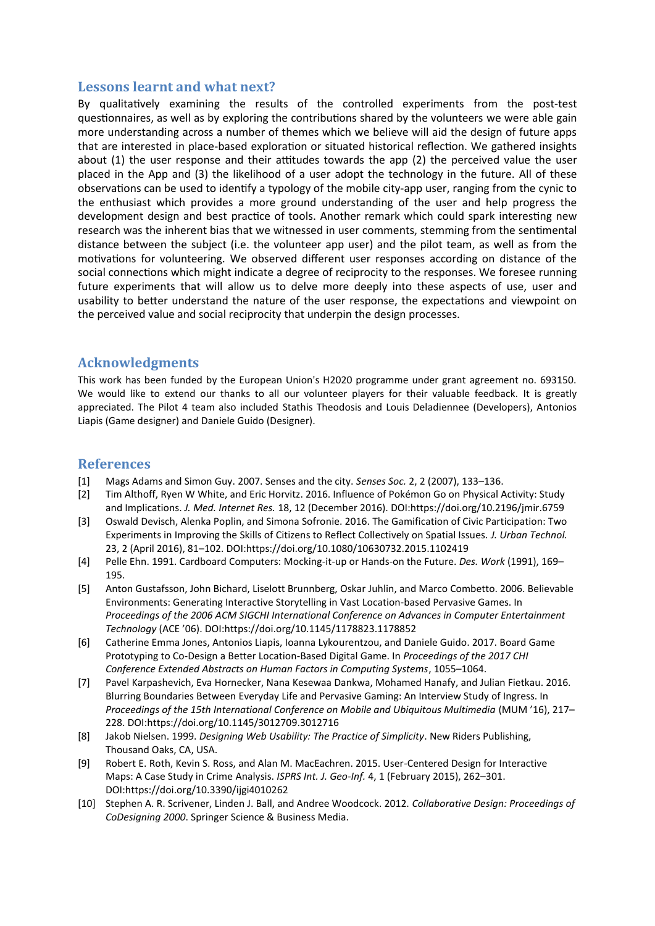## **Lessons learnt and what next?**

By qualitatively examining the results of the controlled experiments from the post-test questionnaires, as well as by exploring the contributions shared by the volunteers we were able gain more understanding across a number of themes which we believe will aid the design of future apps that are interested in place-based exploration or situated historical reflection. We gathered insights about (1) the user response and their attitudes towards the app (2) the perceived value the user placed in the App and (3) the likelihood of a user adopt the technology in the future. All of these observations can be used to identify a typology of the mobile city-app user, ranging from the cynic to the enthusiast which provides a more ground understanding of the user and help progress the development design and best practice of tools. Another remark which could spark interesting new research was the inherent bias that we witnessed in user comments, stemming from the sentimental distance between the subject (i.e. the volunteer app user) and the pilot team, as well as from the motivations for volunteering. We observed different user responses according on distance of the social connections which might indicate a degree of reciprocity to the responses. We foresee running future experiments that will allow us to delve more deeply into these aspects of use, user and usability to better understand the nature of the user response, the expectations and viewpoint on the perceived value and social reciprocity that underpin the design processes.

# **Acknowledgments**

This work has been funded by the European Union's H2020 programme under grant agreement no. 693150. We would like to extend our thanks to all our volunteer players for their valuable feedback. It is greatly appreciated. The Pilot 4 team also included Stathis Theodosis and Louis Deladiennee (Developers), Antonios Liapis (Game designer) and Daniele Guido (Designer).

### **References**

- [1] Mags Adams and Simon Guy. 2007. Senses and the city. *Senses Soc.* 2, 2 (2007), 133–136.
- [2] Tim Althoff, Ryen W White, and Eric Horvitz. 2016. Influence of Pokémon Go on Physical Activity: Study and Implications. *J. Med. Internet Res.* 18, 12 (December 2016). DOI:https://doi.org/10.2196/jmir.6759
- [3] Oswald Devisch, Alenka Poplin, and Simona Sofronie. 2016. The Gamification of Civic Participation: Two Experiments in Improving the Skills of Citizens to Reflect Collectively on Spatial Issues. *J. Urban Technol.* 23, 2 (April 2016), 81–102. DOI:https://doi.org/10.1080/10630732.2015.1102419
- [4] Pelle Ehn. 1991. Cardboard Computers: Mocking-it-up or Hands-on the Future. *Des. Work* (1991), 169– 195.
- [5] Anton Gustafsson, John Bichard, Liselott Brunnberg, Oskar Juhlin, and Marco Combetto. 2006. Believable Environments: Generating Interactive Storytelling in Vast Location-based Pervasive Games. In *Proceedings of the 2006 ACM SIGCHI International Conference on Advances in Computer Entertainment Technology* (ACE '06). DOI:https://doi.org/10.1145/1178823.1178852
- [6] Catherine Emma Jones, Antonios Liapis, Ioanna Lykourentzou, and Daniele Guido. 2017. Board Game Prototyping to Co-Design a Better Location-Based Digital Game. In *Proceedings of the 2017 CHI Conference Extended Abstracts on Human Factors in Computing Systems*, 1055–1064.
- [7] Pavel Karpashevich, Eva Hornecker, Nana Kesewaa Dankwa, Mohamed Hanafy, and Julian Fietkau. 2016. Blurring Boundaries Between Everyday Life and Pervasive Gaming: An Interview Study of Ingress. In *Proceedings of the 15th International Conference on Mobile and Ubiquitous Multimedia* (MUM '16), 217– 228. DOI:https://doi.org/10.1145/3012709.3012716
- [8] Jakob Nielsen. 1999. *Designing Web Usability: The Practice of Simplicity*. New Riders Publishing, Thousand Oaks, CA, USA.
- [9] Robert E. Roth, Kevin S. Ross, and Alan M. MacEachren. 2015. User-Centered Design for Interactive Maps: A Case Study in Crime Analysis. *ISPRS Int. J. Geo-Inf.* 4, 1 (February 2015), 262–301. DOI:https://doi.org/10.3390/ijgi4010262
- [10] Stephen A. R. Scrivener, Linden J. Ball, and Andree Woodcock. 2012. *Collaborative Design: Proceedings of CoDesigning 2000*. Springer Science & Business Media.